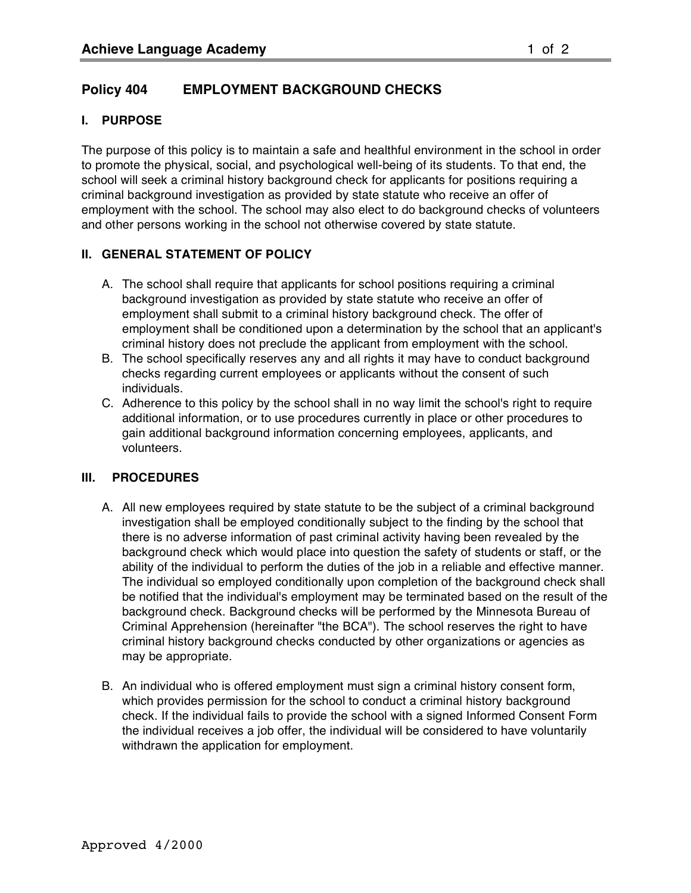## **I. PURPOSE**

The purpose of this policy is to maintain a safe and healthful environment in the school in order to promote the physical, social, and psychological well-being of its students. To that end, the school will seek a criminal history background check for applicants for positions requiring a criminal background investigation as provided by state statute who receive an offer of employment with the school. The school may also elect to do background checks of volunteers and other persons working in the school not otherwise covered by state statute.

## **II. GENERAL STATEMENT OF POLICY**

- A. The school shall require that applicants for school positions requiring a criminal background investigation as provided by state statute who receive an offer of employment shall submit to a criminal history background check. The offer of employment shall be conditioned upon a determination by the school that an applicant's criminal history does not preclude the applicant from employment with the school.
- B. The school specifically reserves any and all rights it may have to conduct background checks regarding current employees or applicants without the consent of such individuals.
- C. Adherence to this policy by the school shall in no way limit the school's right to require additional information, or to use procedures currently in place or other procedures to gain additional background information concerning employees, applicants, and volunteers.

## **III. PROCEDURES**

- A. All new employees required by state statute to be the subject of a criminal background investigation shall be employed conditionally subject to the finding by the school that there is no adverse information of past criminal activity having been revealed by the background check which would place into question the safety of students or staff, or the ability of the individual to perform the duties of the job in a reliable and effective manner. The individual so employed conditionally upon completion of the background check shall be notified that the individual's employment may be terminated based on the result of the background check. Background checks will be performed by the Minnesota Bureau of Criminal Apprehension (hereinafter "the BCA"). The school reserves the right to have criminal history background checks conducted by other organizations or agencies as may be appropriate.
- B. An individual who is offered employment must sign a criminal history consent form, which provides permission for the school to conduct a criminal history background check. If the individual fails to provide the school with a signed Informed Consent Form the individual receives a job offer, the individual will be considered to have voluntarily withdrawn the application for employment.